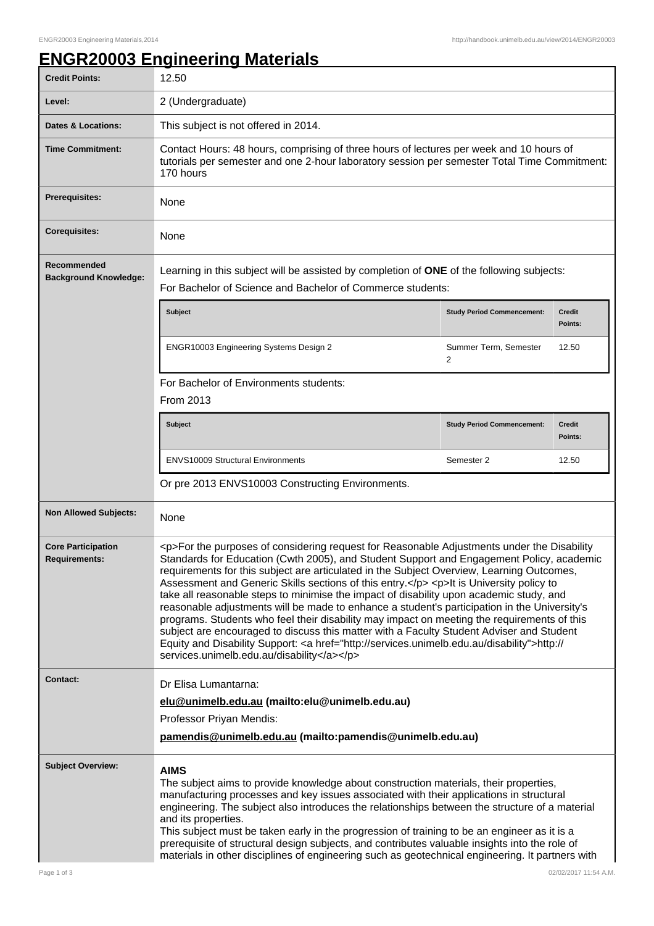## **ENGR20003 Engineering Materials**

| <b>Credit Points:</b>                             | 12.50                                                                                                                                                                                                                                                                                                                                                                                                                                                                                                                                                                                                                                                                                                                                                                                                                                                                                                                        |                                         |                          |  |
|---------------------------------------------------|------------------------------------------------------------------------------------------------------------------------------------------------------------------------------------------------------------------------------------------------------------------------------------------------------------------------------------------------------------------------------------------------------------------------------------------------------------------------------------------------------------------------------------------------------------------------------------------------------------------------------------------------------------------------------------------------------------------------------------------------------------------------------------------------------------------------------------------------------------------------------------------------------------------------------|-----------------------------------------|--------------------------|--|
| Level:                                            | 2 (Undergraduate)                                                                                                                                                                                                                                                                                                                                                                                                                                                                                                                                                                                                                                                                                                                                                                                                                                                                                                            |                                         |                          |  |
| <b>Dates &amp; Locations:</b>                     | This subject is not offered in 2014.                                                                                                                                                                                                                                                                                                                                                                                                                                                                                                                                                                                                                                                                                                                                                                                                                                                                                         |                                         |                          |  |
| <b>Time Commitment:</b>                           | Contact Hours: 48 hours, comprising of three hours of lectures per week and 10 hours of<br>tutorials per semester and one 2-hour laboratory session per semester Total Time Commitment:<br>170 hours                                                                                                                                                                                                                                                                                                                                                                                                                                                                                                                                                                                                                                                                                                                         |                                         |                          |  |
| <b>Prerequisites:</b>                             | None                                                                                                                                                                                                                                                                                                                                                                                                                                                                                                                                                                                                                                                                                                                                                                                                                                                                                                                         |                                         |                          |  |
| <b>Corequisites:</b>                              | None                                                                                                                                                                                                                                                                                                                                                                                                                                                                                                                                                                                                                                                                                                                                                                                                                                                                                                                         |                                         |                          |  |
| Recommended<br><b>Background Knowledge:</b>       | Learning in this subject will be assisted by completion of ONE of the following subjects:<br>For Bachelor of Science and Bachelor of Commerce students:                                                                                                                                                                                                                                                                                                                                                                                                                                                                                                                                                                                                                                                                                                                                                                      |                                         |                          |  |
|                                                   | <b>Subject</b>                                                                                                                                                                                                                                                                                                                                                                                                                                                                                                                                                                                                                                                                                                                                                                                                                                                                                                               | <b>Study Period Commencement:</b>       | <b>Credit</b><br>Points: |  |
|                                                   | ENGR10003 Engineering Systems Design 2                                                                                                                                                                                                                                                                                                                                                                                                                                                                                                                                                                                                                                                                                                                                                                                                                                                                                       | Summer Term, Semester<br>$\overline{c}$ | 12.50                    |  |
|                                                   | For Bachelor of Environments students:<br><b>From 2013</b>                                                                                                                                                                                                                                                                                                                                                                                                                                                                                                                                                                                                                                                                                                                                                                                                                                                                   |                                         |                          |  |
|                                                   | <b>Subject</b>                                                                                                                                                                                                                                                                                                                                                                                                                                                                                                                                                                                                                                                                                                                                                                                                                                                                                                               | <b>Study Period Commencement:</b>       | <b>Credit</b><br>Points: |  |
|                                                   | <b>ENVS10009 Structural Environments</b>                                                                                                                                                                                                                                                                                                                                                                                                                                                                                                                                                                                                                                                                                                                                                                                                                                                                                     | Semester 2                              | 12.50                    |  |
|                                                   | Or pre 2013 ENVS10003 Constructing Environments.                                                                                                                                                                                                                                                                                                                                                                                                                                                                                                                                                                                                                                                                                                                                                                                                                                                                             |                                         |                          |  |
| <b>Non Allowed Subjects:</b>                      | None                                                                                                                                                                                                                                                                                                                                                                                                                                                                                                                                                                                                                                                                                                                                                                                                                                                                                                                         |                                         |                          |  |
| <b>Core Participation</b><br><b>Requirements:</b> | <p>For the purposes of considering request for Reasonable Adjustments under the Disability<br/>Standards for Education (Cwth 2005), and Student Support and Engagement Policy, academic<br/>requirements for this subject are articulated in the Subject Overview, Learning Outcomes,<br/>Assessment and Generic Skills sections of this entry.</p> <p>lt is University policy to<br/>take all reasonable steps to minimise the impact of disability upon academic study, and<br/>reasonable adjustments will be made to enhance a student's participation in the University's<br/>programs. Students who feel their disability may impact on meeting the requirements of this<br/>subject are encouraged to discuss this matter with a Faculty Student Adviser and Student<br/>Equity and Disability Support: &lt; a href="http://services.unimelb.edu.au/disability"&gt;http://<br/>services.unimelb.edu.au/disability</p> |                                         |                          |  |
| <b>Contact:</b>                                   | Dr Elisa Lumantarna:<br>elu@unimelb.edu.au (mailto:elu@unimelb.edu.au)<br>Professor Priyan Mendis:<br>pamendis@unimelb.edu.au (mailto:pamendis@unimelb.edu.au)                                                                                                                                                                                                                                                                                                                                                                                                                                                                                                                                                                                                                                                                                                                                                               |                                         |                          |  |
| <b>Subject Overview:</b>                          | <b>AIMS</b><br>The subject aims to provide knowledge about construction materials, their properties,<br>manufacturing processes and key issues associated with their applications in structural<br>engineering. The subject also introduces the relationships between the structure of a material<br>and its properties.<br>This subject must be taken early in the progression of training to be an engineer as it is a<br>prerequisite of structural design subjects, and contributes valuable insights into the role of<br>materials in other disciplines of engineering such as geotechnical engineering. It partners with                                                                                                                                                                                                                                                                                               |                                         |                          |  |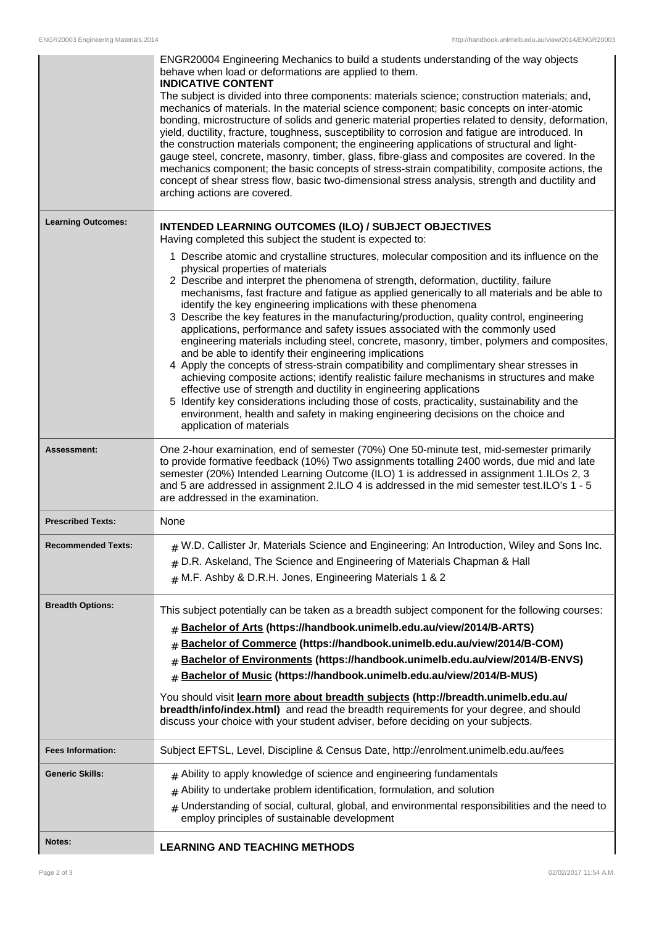|                           | ENGR20004 Engineering Mechanics to build a students understanding of the way objects<br>behave when load or deformations are applied to them.<br><b>INDICATIVE CONTENT</b>                                                                                                                                                                                                                                                                                                                                                                                                                                                                                                                                                                                                                                                                                                                                                                                                                                                                                                                                                                                                                                     |  |
|---------------------------|----------------------------------------------------------------------------------------------------------------------------------------------------------------------------------------------------------------------------------------------------------------------------------------------------------------------------------------------------------------------------------------------------------------------------------------------------------------------------------------------------------------------------------------------------------------------------------------------------------------------------------------------------------------------------------------------------------------------------------------------------------------------------------------------------------------------------------------------------------------------------------------------------------------------------------------------------------------------------------------------------------------------------------------------------------------------------------------------------------------------------------------------------------------------------------------------------------------|--|
|                           | The subject is divided into three components: materials science; construction materials; and,<br>mechanics of materials. In the material science component; basic concepts on inter-atomic<br>bonding, microstructure of solids and generic material properties related to density, deformation,<br>yield, ductility, fracture, toughness, susceptibility to corrosion and fatigue are introduced. In<br>the construction materials component; the engineering applications of structural and light-<br>gauge steel, concrete, masonry, timber, glass, fibre-glass and composites are covered. In the<br>mechanics component; the basic concepts of stress-strain compatibility, composite actions, the<br>concept of shear stress flow, basic two-dimensional stress analysis, strength and ductility and<br>arching actions are covered.                                                                                                                                                                                                                                                                                                                                                                     |  |
| <b>Learning Outcomes:</b> | <b>INTENDED LEARNING OUTCOMES (ILO) / SUBJECT OBJECTIVES</b><br>Having completed this subject the student is expected to:                                                                                                                                                                                                                                                                                                                                                                                                                                                                                                                                                                                                                                                                                                                                                                                                                                                                                                                                                                                                                                                                                      |  |
|                           | 1 Describe atomic and crystalline structures, molecular composition and its influence on the<br>physical properties of materials<br>2 Describe and interpret the phenomena of strength, deformation, ductility, failure<br>mechanisms, fast fracture and fatigue as applied generically to all materials and be able to<br>identify the key engineering implications with these phenomena<br>3 Describe the key features in the manufacturing/production, quality control, engineering<br>applications, performance and safety issues associated with the commonly used<br>engineering materials including steel, concrete, masonry, timber, polymers and composites,<br>and be able to identify their engineering implications<br>4 Apply the concepts of stress-strain compatibility and complimentary shear stresses in<br>achieving composite actions; identify realistic failure mechanisms in structures and make<br>effective use of strength and ductility in engineering applications<br>5 Identify key considerations including those of costs, practicality, sustainability and the<br>environment, health and safety in making engineering decisions on the choice and<br>application of materials |  |
| Assessment:               | One 2-hour examination, end of semester (70%) One 50-minute test, mid-semester primarily<br>to provide formative feedback (10%) Two assignments totalling 2400 words, due mid and late<br>semester (20%) Intended Learning Outcome (ILO) 1 is addressed in assignment 1.ILOs 2, 3<br>and 5 are addressed in assignment 2.ILO 4 is addressed in the mid semester test.ILO's 1 - 5<br>are addressed in the examination.                                                                                                                                                                                                                                                                                                                                                                                                                                                                                                                                                                                                                                                                                                                                                                                          |  |
| <b>Prescribed Texts:</b>  | None                                                                                                                                                                                                                                                                                                                                                                                                                                                                                                                                                                                                                                                                                                                                                                                                                                                                                                                                                                                                                                                                                                                                                                                                           |  |
| <b>Recommended Texts:</b> | $_{\#}$ W.D. Callister Jr, Materials Science and Engineering: An Introduction, Wiley and Sons Inc.<br>$#$ D.R. Askeland, The Science and Engineering of Materials Chapman & Hall<br>$#$ M.F. Ashby & D.R.H. Jones, Engineering Materials 1 & 2                                                                                                                                                                                                                                                                                                                                                                                                                                                                                                                                                                                                                                                                                                                                                                                                                                                                                                                                                                 |  |
| <b>Breadth Options:</b>   | This subject potentially can be taken as a breadth subject component for the following courses:<br>Bachelor of Arts (https://handbook.unimelb.edu.au/view/2014/B-ARTS)<br>#<br>Bachelor of Commerce (https://handbook.unimelb.edu.au/view/2014/B-COM)<br>#<br>Bachelor of Environments (https://handbook.unimelb.edu.au/view/2014/B-ENVS)<br>Bachelor of Music (https://handbook.unimelb.edu.au/view/2014/B-MUS)<br>#<br>You should visit learn more about breadth subjects (http://breadth.unimelb.edu.au/<br>breadth/info/index.html) and read the breadth requirements for your degree, and should<br>discuss your choice with your student adviser, before deciding on your subjects.                                                                                                                                                                                                                                                                                                                                                                                                                                                                                                                      |  |
| <b>Fees Information:</b>  | Subject EFTSL, Level, Discipline & Census Date, http://enrolment.unimelb.edu.au/fees                                                                                                                                                                                                                                                                                                                                                                                                                                                                                                                                                                                                                                                                                                                                                                                                                                                                                                                                                                                                                                                                                                                           |  |
| <b>Generic Skills:</b>    | $#$ Ability to apply knowledge of science and engineering fundamentals                                                                                                                                                                                                                                                                                                                                                                                                                                                                                                                                                                                                                                                                                                                                                                                                                                                                                                                                                                                                                                                                                                                                         |  |
|                           | Ability to undertake problem identification, formulation, and solution<br>#                                                                                                                                                                                                                                                                                                                                                                                                                                                                                                                                                                                                                                                                                                                                                                                                                                                                                                                                                                                                                                                                                                                                    |  |
|                           | Understanding of social, cultural, global, and environmental responsibilities and the need to<br>#<br>employ principles of sustainable development                                                                                                                                                                                                                                                                                                                                                                                                                                                                                                                                                                                                                                                                                                                                                                                                                                                                                                                                                                                                                                                             |  |
| <b>Notes:</b>             | <b>LEARNING AND TEACHING METHODS</b>                                                                                                                                                                                                                                                                                                                                                                                                                                                                                                                                                                                                                                                                                                                                                                                                                                                                                                                                                                                                                                                                                                                                                                           |  |